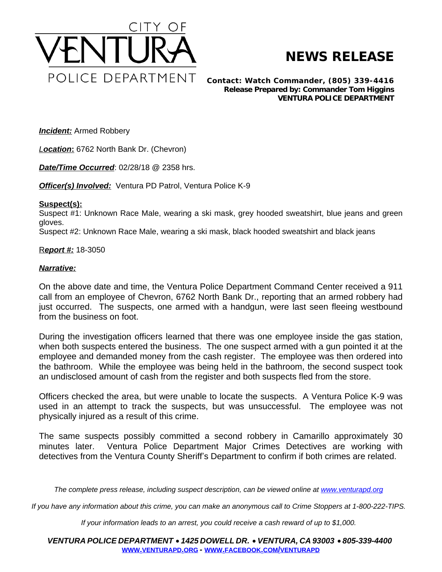

## **NEWS RELEASE**

*Contact: Watch Commander, (805) 339-4416 Release Prepared by: Commander Tom Higgins* **VENTURA POLICE DEPARTMENT**

**Incident:** Armed Robbery

*Location***:** 6762 North Bank Dr. (Chevron)

*Date/Time Occurred*: 02/28/18 @ 2358 hrs.

*Officer(s) Involved:* Ventura PD Patrol, Ventura Police K-9

## **Suspect(s):**

Suspect #1: Unknown Race Male, wearing a ski mask, grey hooded sweatshirt, blue jeans and green gloves.

Suspect #2: Unknown Race Male, wearing a ski mask, black hooded sweatshirt and black jeans

R*eport #:* 18-3050

## *Narrative:*

On the above date and time, the Ventura Police Department Command Center received a 911 call from an employee of Chevron, 6762 North Bank Dr., reporting that an armed robbery had just occurred. The suspects, one armed with a handgun, were last seen fleeing westbound from the business on foot.

During the investigation officers learned that there was one employee inside the gas station, when both suspects entered the business. The one suspect armed with a gun pointed it at the employee and demanded money from the cash register. The employee was then ordered into the bathroom. While the employee was being held in the bathroom, the second suspect took an undisclosed amount of cash from the register and both suspects fled from the store.

Officers checked the area, but were unable to locate the suspects. A Ventura Police K-9 was used in an attempt to track the suspects, but was unsuccessful. The employee was not physically injured as a result of this crime.

The same suspects possibly committed a second robbery in Camarillo approximately 30 minutes later. Ventura Police Department Major Crimes Detectives are working with detectives from the Ventura County Sheriff's Department to confirm if both crimes are related.

The complete press release, including suspect description, can be viewed online at [www.venturapd.org](http://www.venturapd.org)

*If you have any information about this crime, you can make an anonymous call to Crime Stoppers at 1-800-222-TIPS.*

*If your information leads to an arrest, you could receive a cash reward of up to \$1,000.*

*VENTURA POLICE DEPARTMENT* · *1425 DOWELL DR.* · *VENTURA, CA 93003* · *805-339-4400* **WWW.[VENTURAPD](http://www.venturapd.org).ORG** *-* **WWW.FACEBOOK.COM/[VENTURAPD](http://www.facebook.com/venturapd)**